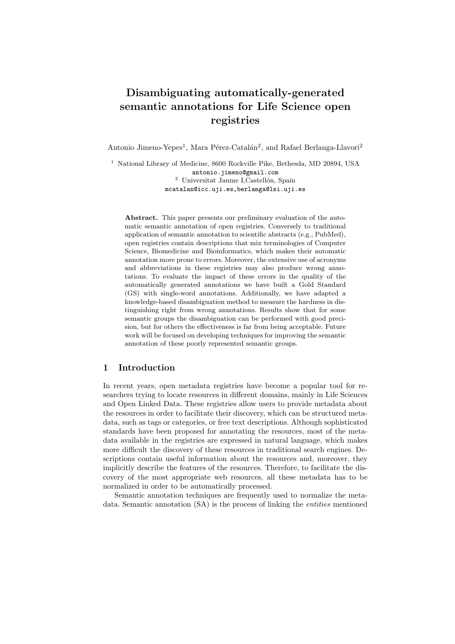# Disambiguating automatically-generated semantic annotations for Life Science open registries

Antonio Jimeno-Yepes<sup>1</sup>, Mara Pérez-Catalán<sup>2</sup>, and Rafael Berlanga-Llavori<sup>2</sup>

<sup>1</sup> National Library of Medicine, 8600 Rockville Pike, Bethesda, MD 20894, USA antonio.jimeno@gmail.com  $2$  Universitat Jaume I, Castellón, Spain mcatalan@icc.uji.es,berlanga@lsi.uji.es

Abstract. This paper presents our preliminary evaluation of the automatic semantic annotation of open registries. Conversely to traditional application of semantic annotation to scientific abstracts (e.g., PubMed), open registries contain descriptions that mix terminologies of Computer Science, Biomedicine and Bioinformatics, which makes their automatic annotation more prone to errors. Moreover, the extensive use of acronyms and abbreviations in these registries may also produce wrong annotations. To evaluate the impact of these errors in the quality of the automatically generated annotations we have built a Gold Standard (GS) with single-word annotations. Additionally, we have adapted a knowledge-based disambiguation method to measure the hardness in distinguishing right from wrong annotations. Results show that for some semantic groups the disambiguation can be performed with good precision, but for others the effectiveness is far from being acceptable. Future work will be focused on developing techniques for improving the semantic annotation of these poorly represented semantic groups.

## 1 Introduction

In recent years, open metadata registries have become a popular tool for researchers trying to locate resources in different domains, mainly in Life Sciences and Open Linked Data. These registries allow users to provide metadata about the resources in order to facilitate their discovery, which can be structured metadata, such as tags or categories, or free text descriptions. Although sophisticated standards have been proposed for annotating the resources, most of the metadata available in the registries are expressed in natural language, which makes more difficult the discovery of these resources in traditional search engines. Descriptions contain useful information about the resources and, moreover, they implicitly describe the features of the resources. Therefore, to facilitate the discovery of the most appropriate web resources, all these metadata has to be normalized in order to be automatically processed.

Semantic annotation techniques are frequently used to normalize the metadata. Semantic annotation (SA) is the process of linking the *entities* mentioned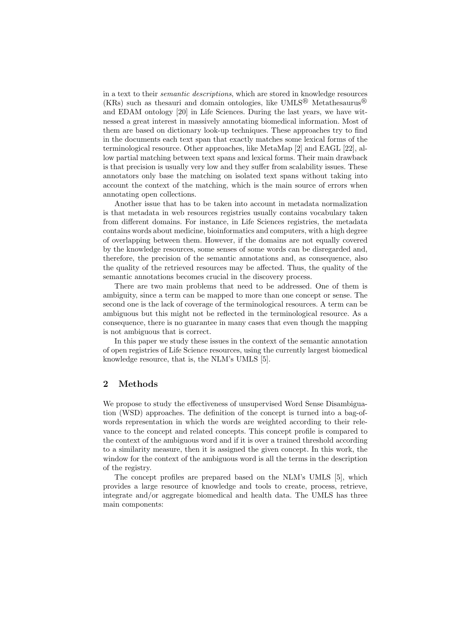in a text to their semantic descriptions, which are stored in knowledge resources  $(KRs)$  such as the sauri and domain ontologies, like UMLS<sup>®</sup> Metathesaurus<sup>®</sup> and EDAM ontology [20] in Life Sciences. During the last years, we have witnessed a great interest in massively annotating biomedical information. Most of them are based on dictionary look-up techniques. These approaches try to find in the documents each text span that exactly matches some lexical forms of the terminological resource. Other approaches, like MetaMap [2] and EAGL [22], allow partial matching between text spans and lexical forms. Their main drawback is that precision is usually very low and they suffer from scalability issues. These annotators only base the matching on isolated text spans without taking into account the context of the matching, which is the main source of errors when annotating open collections.

Another issue that has to be taken into account in metadata normalization is that metadata in web resources registries usually contains vocabulary taken from different domains. For instance, in Life Sciences registries, the metadata contains words about medicine, bioinformatics and computers, with a high degree of overlapping between them. However, if the domains are not equally covered by the knowledge resources, some senses of some words can be disregarded and, therefore, the precision of the semantic annotations and, as consequence, also the quality of the retrieved resources may be affected. Thus, the quality of the semantic annotations becomes crucial in the discovery process.

There are two main problems that need to be addressed. One of them is ambiguity, since a term can be mapped to more than one concept or sense. The second one is the lack of coverage of the terminological resources. A term can be ambiguous but this might not be reflected in the terminological resource. As a consequence, there is no guarantee in many cases that even though the mapping is not ambiguous that is correct.

In this paper we study these issues in the context of the semantic annotation of open registries of Life Science resources, using the currently largest biomedical knowledge resource, that is, the NLM's UMLS [5].

#### 2 Methods

We propose to study the effectiveness of unsupervised Word Sense Disambiguation (WSD) approaches. The definition of the concept is turned into a bag-ofwords representation in which the words are weighted according to their relevance to the concept and related concepts. This concept profile is compared to the context of the ambiguous word and if it is over a trained threshold according to a similarity measure, then it is assigned the given concept. In this work, the window for the context of the ambiguous word is all the terms in the description of the registry.

The concept profiles are prepared based on the NLM's UMLS [5], which provides a large resource of knowledge and tools to create, process, retrieve, integrate and/or aggregate biomedical and health data. The UMLS has three main components: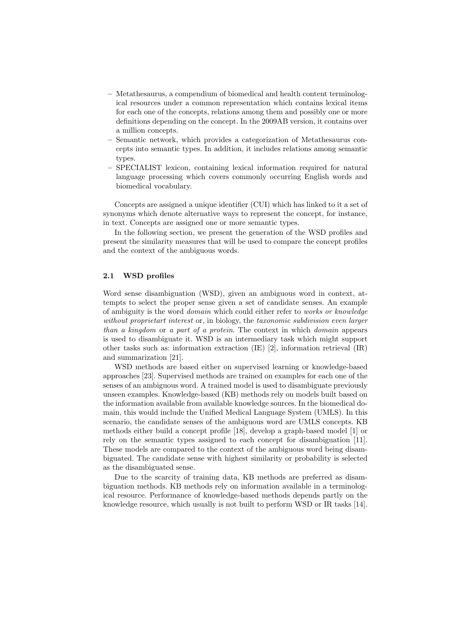- Metathesaurus, a compendium of biomedical and health content terminological resources under a common representation which contains lexical items for each one of the concepts, relations among them and possibly one or more definitions depending on the concept. In the 2009AB version, it contains over a million concepts.
- Semantic network, which provides a categorization of Metathesaurus concepts into semantic types. In addition, it includes relations among semantic types.
- SPECIALIST lexicon, containing lexical information required for natural language processing which covers commonly occurring English words and biomedical vocabulary.

Concepts are assigned a unique identifier (CUI) which has linked to it a set of synonyms which denote alternative ways to represent the concept, for instance, in text. Concepts are assigned one or more semantic types.

In the following section, we present the generation of the WSD profiles and present the similarity measures that will be used to compare the concept profiles and the context of the ambiguous words.

#### 2.1 WSD profiles

Word sense disambiguation (WSD), given an ambiguous word in context, attempts to select the proper sense given a set of candidate senses. An example of ambiguity is the word domain which could either refer to works or knowledge without proprietart interest or, in biology, the taxonomic subdivision even larger than a kingdom or a part of a protein. The context in which domain appears is used to disambiguate it. WSD is an intermediary task which might support other tasks such as: information extraction (IE) [2], information retrieval (IR) and summarization [21].

WSD methods are based either on supervised learning or knowledge-based approaches [23]. Supervised methods are trained on examples for each one of the senses of an ambiguous word. A trained model is used to disambiguate previously unseen examples. Knowledge-based (KB) methods rely on models built based on the information available from available knowledge sources. In the biomedical domain, this would include the Unified Medical Language System (UMLS). In this scenario, the candidate senses of the ambiguous word are UMLS concepts. KB methods either build a concept profile [18], develop a graph-based model [1] or rely on the semantic types assigned to each concept for disambiguation [11]. These models are compared to the context of the ambiguous word being disambiguated. The candidate sense with highest similarity or probability is selected as the disambiguated sense.

Due to the scarcity of training data, KB methods are preferred as disambiguation methods. KB methods rely on information available in a terminological resource. Performance of knowledge-based methods depends partly on the knowledge resource, which usually is not built to perform WSD or IR tasks [14].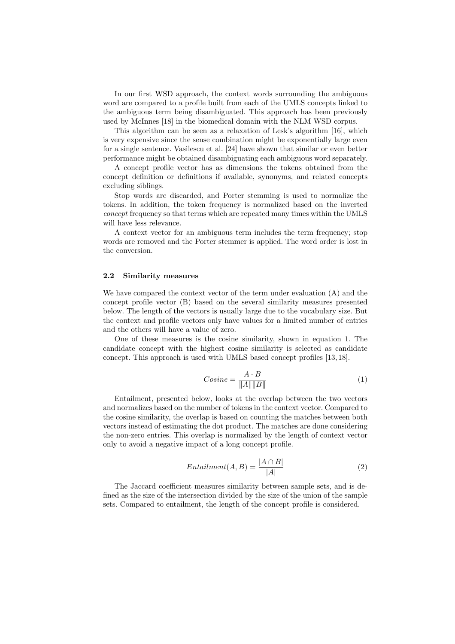In our first WSD approach, the context words surrounding the ambiguous word are compared to a profile built from each of the UMLS concepts linked to the ambiguous term being disambiguated. This approach has been previously used by McInnes [18] in the biomedical domain with the NLM WSD corpus.

This algorithm can be seen as a relaxation of Lesk's algorithm [16], which is very expensive since the sense combination might be exponentially large even for a single sentence. Vasilescu et al. [24] have shown that similar or even better performance might be obtained disambiguating each ambiguous word separately.

A concept profile vector has as dimensions the tokens obtained from the concept definition or definitions if available, synonyms, and related concepts excluding siblings.

Stop words are discarded, and Porter stemming is used to normalize the tokens. In addition, the token frequency is normalized based on the inverted concept frequency so that terms which are repeated many times within the UMLS will have less relevance.

A context vector for an ambiguous term includes the term frequency; stop words are removed and the Porter stemmer is applied. The word order is lost in the conversion.

#### 2.2 Similarity measures

We have compared the context vector of the term under evaluation (A) and the concept profile vector (B) based on the several similarity measures presented below. The length of the vectors is usually large due to the vocabulary size. But the context and profile vectors only have values for a limited number of entries and the others will have a value of zero.

One of these measures is the cosine similarity, shown in equation 1. The candidate concept with the highest cosine similarity is selected as candidate concept. This approach is used with UMLS based concept profiles [13, 18].

$$
Cosine = \frac{A \cdot B}{\|A\| \|B\|} \tag{1}
$$

Entailment, presented below, looks at the overlap between the two vectors and normalizes based on the number of tokens in the context vector. Compared to the cosine similarity, the overlap is based on counting the matches between both vectors instead of estimating the dot product. The matches are done considering the non-zero entries. This overlap is normalized by the length of context vector only to avoid a negative impact of a long concept profile.

$$
Entailment(A, B) = \frac{|A \cap B|}{|A|} \tag{2}
$$

The Jaccard coefficient measures similarity between sample sets, and is defined as the size of the intersection divided by the size of the union of the sample sets. Compared to entailment, the length of the concept profile is considered.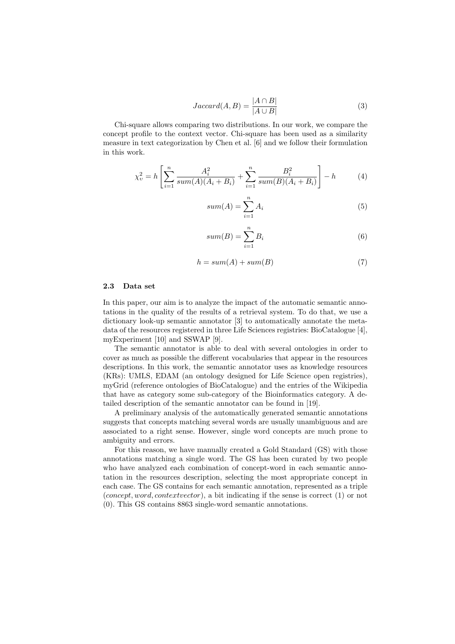$$
Jaccard(A, B) = \frac{|A \cap B|}{|A \cup B|}
$$
 (3)

Chi-square allows comparing two distributions. In our work, we compare the concept profile to the context vector. Chi-square has been used as a similarity measure in text categorization by Chen et al. [6] and we follow their formulation in this work.

$$
\chi_v^2 = h \left[ \sum_{i=1}^n \frac{A_i^2}{sum(A)(A_i + B_i)} + \sum_{i=1}^n \frac{B_i^2}{sum(B)(A_i + B_i)} \right] - h \tag{4}
$$

$$
sum(A) = \sum_{i=1}^{n} A_i
$$
\n(5)

$$
sum(B) = \sum_{i=1}^{n} B_i
$$
\n(6)

$$
h = sum(A) + sum(B) \tag{7}
$$

#### 2.3 Data set

In this paper, our aim is to analyze the impact of the automatic semantic annotations in the quality of the results of a retrieval system. To do that, we use a dictionary look-up semantic annotator [3] to automatically annotate the metadata of the resources registered in three Life Sciences registries: BioCatalogue [4], myExperiment [10] and SSWAP [9].

The semantic annotator is able to deal with several ontologies in order to cover as much as possible the different vocabularies that appear in the resources descriptions. In this work, the semantic annotator uses as knowledge resources (KRs): UMLS, EDAM (an ontology designed for Life Science open registries), myGrid (reference ontologies of BioCatalogue) and the entries of the Wikipedia that have as category some sub-category of the Bioinformatics category. A detailed description of the semantic annotator can be found in [19].

A preliminary analysis of the automatically generated semantic annotations suggests that concepts matching several words are usually unambiguous and are associated to a right sense. However, single word concepts are much prone to ambiguity and errors.

For this reason, we have manually created a Gold Standard (GS) with those annotations matching a single word. The GS has been curated by two people who have analyzed each combination of concept-word in each semantic annotation in the resources description, selecting the most appropriate concept in each case. The GS contains for each semantic annotation, represented as a triple (concept, word, contextvector), a bit indicating if the sense is correct (1) or not (0). This GS contains 8863 single-word semantic annotations.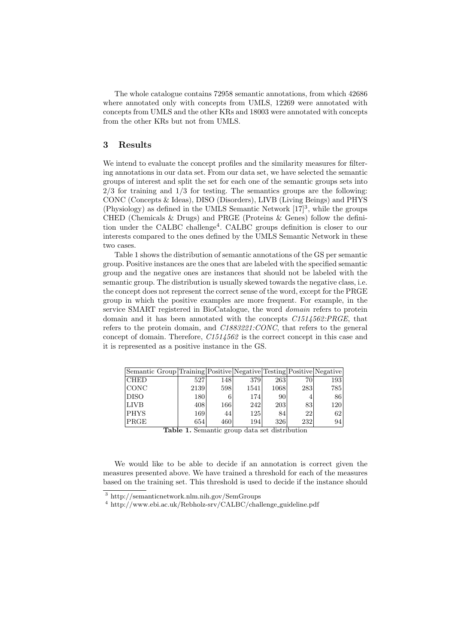The whole catalogue contains 72958 semantic annotations, from which 42686 where annotated only with concepts from UMLS, 12269 were annotated with concepts from UMLS and the other KRs and 18003 were annotated with concepts from the other KRs but not from UMLS.

#### 3 Results

We intend to evaluate the concept profiles and the similarity measures for filtering annotations in our data set. From our data set, we have selected the semantic groups of interest and split the set for each one of the semantic groups sets into  $2/3$  for training and  $1/3$  for testing. The semantics groups are the following: CONC (Concepts & Ideas), DISO (Disorders), LIVB (Living Beings) and PHYS (Physiology) as defined in the UMLS Semantic Network  $[17]^3$ , while the groups CHED (Chemicals & Drugs) and PRGE (Proteins & Genes) follow the definition under the CALBC challenge<sup>4</sup>. CALBC groups definition is closer to our interests compared to the ones defined by the UMLS Semantic Network in these two cases.

Table 1 shows the distribution of semantic annotations of the GS per semantic group. Positive instances are the ones that are labeled with the specified semantic group and the negative ones are instances that should not be labeled with the semantic group. The distribution is usually skewed towards the negative class, i.e. the concept does not represent the correct sense of the word, except for the PRGE group in which the positive examples are more frequent. For example, in the service SMART registered in BioCatalogue, the word domain refers to protein domain and it has been annotated with the concepts C1514562:PRGE, that refers to the protein domain, and C1883221:CONC, that refers to the general concept of domain. Therefore, C1514562 is the correct concept in this case and it is represented as a positive instance in the GS.

| Semantic Group Training Positive Negative Testing Positive Negative |      |      |      |                  |     |     |
|---------------------------------------------------------------------|------|------|------|------------------|-----|-----|
| <b>CHED</b>                                                         | 5271 | 1481 | 379  | 263 <sup> </sup> | 70  | 193 |
| <b>CONC</b>                                                         | 2139 | 598  | 1541 | 1068             | 283 | 785 |
| <b>DISO</b>                                                         | 180  |      | 174  | 90               |     | 86  |
| <b>LIVB</b>                                                         | 408  | 166  | 2421 | 203              | 83  | 120 |
| <b>PHYS</b>                                                         | 169  | 44   | 125  | 84               | 22  | 62  |
| $ {\rm PRCE} $                                                      | 654  | 460  | 194  | 326              | 232 | 94  |

Table 1. Semantic group data set distribution

We would like to be able to decide if an annotation is correct given the measures presented above. We have trained a threshold for each of the measures based on the training set. This threshold is used to decide if the instance should

<sup>3</sup> http://semanticnetwork.nlm.nih.gov/SemGroups

<sup>4</sup> http://www.ebi.ac.uk/Rebholz-srv/CALBC/challenge guideline.pdf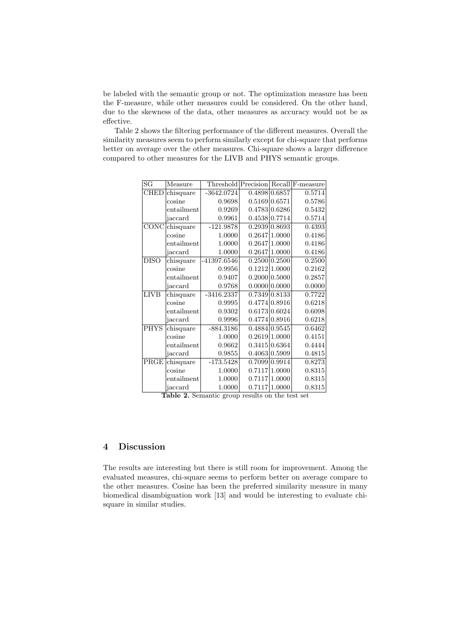be labeled with the semantic group or not. The optimization measure has been the F-measure, while other measures could be considered. On the other hand, due to the skewness of the data, other measures as accuracy would not be as effective.

Table 2 shows the filtering performance of the different measures. Overall the similarity measures seem to perform similarly except for chi-square that performs better on average over the other measures. Chi-square shows a larger difference compared to other measures for the LIVB and PHYS semantic groups.

| SG                         | Measure    |              |               | Threshold Precision Recall F-measure |
|----------------------------|------------|--------------|---------------|--------------------------------------|
| CHED                       | chisquare  | $-3642.0724$ | 0.4898 0.6857 | 0.5714                               |
|                            | cosine     | 0.9698       | 0.5169 0.6571 | 0.5786                               |
|                            | entailment | 0.9269       | 0.4783 0.6286 | 0.5432                               |
|                            | jaccard    | 0.9961       | 0.4538 0.7714 | 0.5714                               |
| CONC                       | chisquare  | $-121.9878$  | 0.2939 0.8693 | 0.4393                               |
|                            | cosine     | 1.0000       | 0.2647 1.0000 | 0.4186                               |
|                            | entailment | 1.0000       | 0.2647 1.0000 | 0.4186                               |
|                            | jaccard    | 1.0000       | 0.2647 1.0000 | 0.4186                               |
| <b>DISO</b>                | chisquare  | -41397.6546  | 0.2500 0.2500 | 0.2500                               |
|                            | cosine     | 0.9956       | 0.1212 1.0000 | 0.2162                               |
|                            | entailment | 0.9407       | 0.2000 0.5000 | 0.2857                               |
|                            | jaccard    | 0.9768       | 0.0000 0.0000 | 0.0000                               |
| LIVB                       | chisquare  | $-3416.2337$ | 0.7349 0.8133 | 0.7722                               |
|                            | cosine     | 0.9995       | 0.4774 0.8916 | 0.6218                               |
|                            | entailment | 0.9302       | 0.6173 0.6024 | 0.6098                               |
|                            | jaccard    | 0.9996       | 0.4774 0.8916 | 0.6218                               |
| <b>PHYS</b>                | chisquare  | $-884.3186$  | 0.4884 0.9545 | 0.6462                               |
|                            | cosine     | 1.0000       | 0.2619 1.0000 | 0.4151                               |
|                            | entailment | 0.9662       | 0.3415 0.6364 | 0.4444                               |
|                            | jaccard    | 0.9855       | 0.4063 0.5909 | 0.4815                               |
| $\overline{\mathrm{PRGE}}$ | chisquare  | $-173.5428$  | 0.7099 0.9914 | 0.8273                               |
|                            | cosine     | 1.0000       | 0.7117 1.0000 | 0.8315                               |
|                            | entailment | 1.0000       | 0.7117 1.0000 | 0.8315                               |
|                            | jaccard    | 1.0000       | 0.7117 1.0000 | 0.8315                               |
|                            |            |              |               |                                      |

Table 2. Semantic group results on the test set

## 4 Discussion

The results are interesting but there is still room for improvement. Among the evaluated measures, chi-square seems to perform better on average compare to the other measures. Cosine has been the preferred similarity measure in many biomedical disambiguation work [13] and would be interesting to evaluate chisquare in similar studies.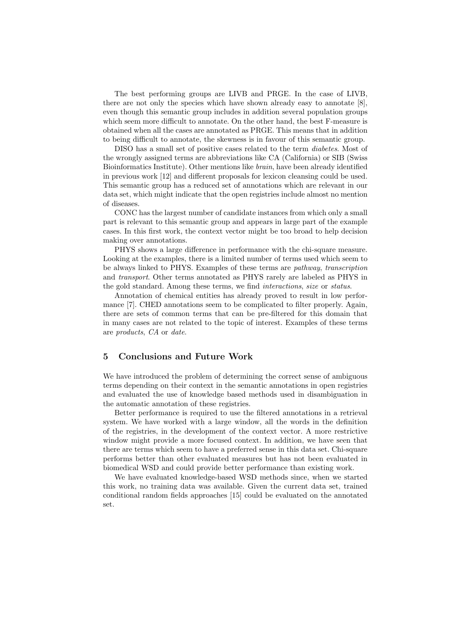The best performing groups are LIVB and PRGE. In the case of LIVB, there are not only the species which have shown already easy to annotate  $|8|$ , even though this semantic group includes in addition several population groups which seem more difficult to annotate. On the other hand, the best F-measure is obtained when all the cases are annotated as PRGE. This means that in addition to being difficult to annotate, the skewness is in favour of this semantic group.

DISO has a small set of positive cases related to the term diabetes. Most of the wrongly assigned terms are abbreviations like CA (California) or SIB (Swiss Bioinformatics Institute). Other mentions like brain, have been already identified in previous work [12] and different proposals for lexicon cleansing could be used. This semantic group has a reduced set of annotations which are relevant in our data set, which might indicate that the open registries include almost no mention of diseases.

CONC has the largest number of candidate instances from which only a small part is relevant to this semantic group and appears in large part of the example cases. In this first work, the context vector might be too broad to help decision making over annotations.

PHYS shows a large difference in performance with the chi-square measure. Looking at the examples, there is a limited number of terms used which seem to be always linked to PHYS. Examples of these terms are pathway, transcription and transport. Other terms annotated as PHYS rarely are labeled as PHYS in the gold standard. Among these terms, we find interactions, size or status.

Annotation of chemical entities has already proved to result in low performance [7]. CHED annotations seem to be complicated to filter properly. Again, there are sets of common terms that can be pre-filtered for this domain that in many cases are not related to the topic of interest. Examples of these terms are products, CA or date.

## 5 Conclusions and Future Work

We have introduced the problem of determining the correct sense of ambiguous terms depending on their context in the semantic annotations in open registries and evaluated the use of knowledge based methods used in disambiguation in the automatic annotation of these registries.

Better performance is required to use the filtered annotations in a retrieval system. We have worked with a large window, all the words in the definition of the registries, in the development of the context vector. A more restrictive window might provide a more focused context. In addition, we have seen that there are terms which seem to have a preferred sense in this data set. Chi-square performs better than other evaluated measures but has not been evaluated in biomedical WSD and could provide better performance than existing work.

We have evaluated knowledge-based WSD methods since, when we started this work, no training data was available. Given the current data set, trained conditional random fields approaches [15] could be evaluated on the annotated set.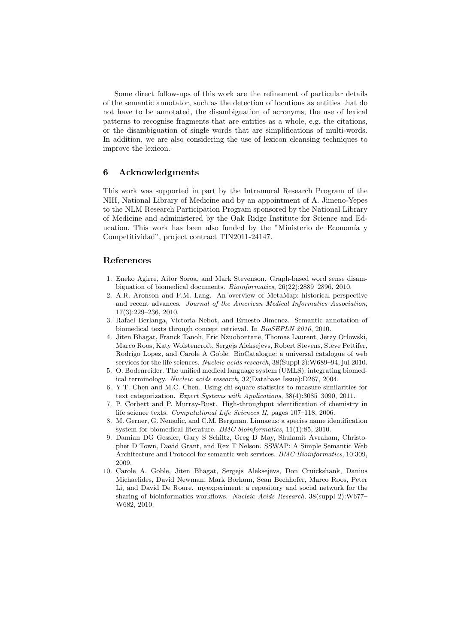Some direct follow-ups of this work are the refinement of particular details of the semantic annotator, such as the detection of locutions as entities that do not have to be annotated, the disambiguation of acronyms, the use of lexical patterns to recognise fragments that are entities as a whole, e.g. the citations, or the disambiguation of single words that are simplifications of multi-words. In addition, we are also considering the use of lexicon cleansing techniques to improve the lexicon.

### 6 Acknowledgments

This work was supported in part by the Intramural Research Program of the NIH, National Library of Medicine and by an appointment of A. Jimeno-Yepes to the NLM Research Participation Program sponsored by the National Library of Medicine and administered by the Oak Ridge Institute for Science and Education. This work has been also funded by the "Ministerio de Economía y Competitividad", project contract TIN2011-24147.

## References

- 1. Eneko Agirre, Aitor Soroa, and Mark Stevenson. Graph-based word sense disambiguation of biomedical documents. Bioinformatics, 26(22):2889–2896, 2010.
- 2. A.R. Aronson and F.M. Lang. An overview of MetaMap: historical perspective and recent advances. Journal of the American Medical Informatics Association, 17(3):229–236, 2010.
- 3. Rafael Berlanga, Victoria Nebot, and Ernesto Jimenez. Semantic annotation of biomedical texts through concept retrieval. In BioSEPLN 2010, 2010.
- 4. Jiten Bhagat, Franck Tanoh, Eric Nzuobontane, Thomas Laurent, Jerzy Orlowski, Marco Roos, Katy Wolstencroft, Sergejs Aleksejevs, Robert Stevens, Steve Pettifer, Rodrigo Lopez, and Carole A Goble. BioCatalogue: a universal catalogue of web services for the life sciences. Nucleic acids research, 38(Suppl 2):W689–94, jul 2010.
- 5. O. Bodenreider. The unified medical language system (UMLS): integrating biomedical terminology. Nucleic acids research, 32(Database Issue):D267, 2004.
- 6. Y.T. Chen and M.C. Chen. Using chi-square statistics to measure similarities for text categorization. Expert Systems with Applications, 38(4):3085–3090, 2011.
- 7. P. Corbett and P. Murray-Rust. High-throughput identification of chemistry in life science texts. Computational Life Sciences II, pages 107–118, 2006.
- 8. M. Gerner, G. Nenadic, and C.M. Bergman. Linnaeus: a species name identification system for biomedical literature. BMC bioinformatics, 11(1):85, 2010.
- 9. Damian DG Gessler, Gary S Schiltz, Greg D May, Shulamit Avraham, Christopher D Town, David Grant, and Rex T Nelson. SSWAP: A Simple Semantic Web Architecture and Protocol for semantic web services. BMC Bioinformatics, 10:309, 2009.
- 10. Carole A. Goble, Jiten Bhagat, Sergejs Aleksejevs, Don Cruickshank, Danius Michaelides, David Newman, Mark Borkum, Sean Bechhofer, Marco Roos, Peter Li, and David De Roure. myexperiment: a repository and social network for the sharing of bioinformatics workflows. Nucleic Acids Research, 38(suppl 2):W677– W682, 2010.